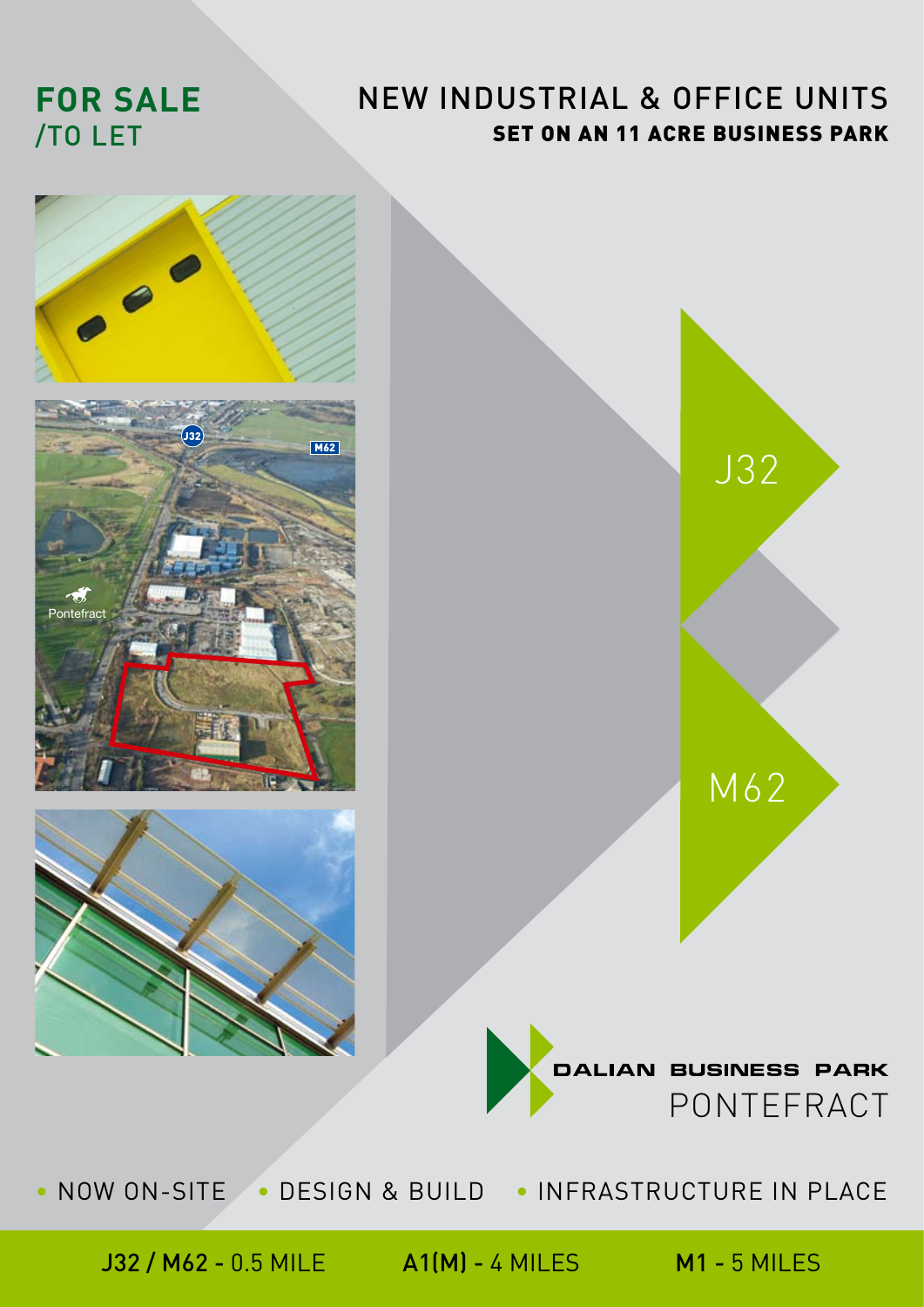# **FOR SALE**  /TO LET

## NEW INDUSTRIAL & OFFICE UNITS SET ON AN 11 ACRE BUSINESS PARK



• NOW ON-SITE • DESIGN & BUILD • INFRASTRUCTURE IN PLACE

J32 / M62 - 0.5 MILE A1(M) - 4 MILES M1 - 5 MILES